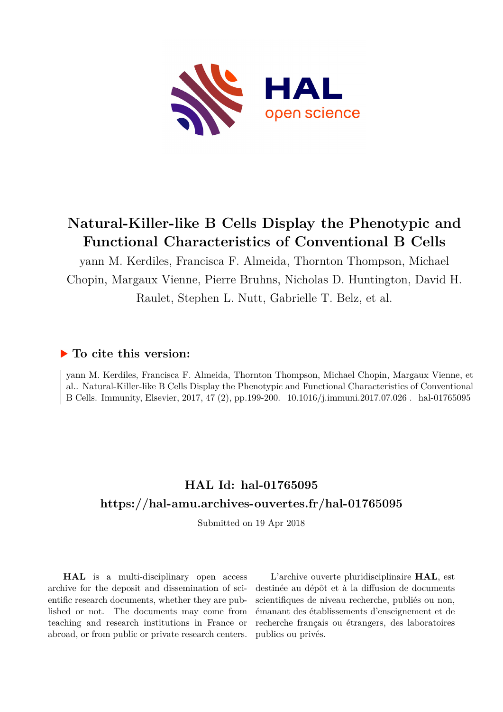

# **Natural-Killer-like B Cells Display the Phenotypic and Functional Characteristics of Conventional B Cells**

yann M. Kerdiles, Francisca F. Almeida, Thornton Thompson, Michael Chopin, Margaux Vienne, Pierre Bruhns, Nicholas D. Huntington, David H. Raulet, Stephen L. Nutt, Gabrielle T. Belz, et al.

## **To cite this version:**

yann M. Kerdiles, Francisca F. Almeida, Thornton Thompson, Michael Chopin, Margaux Vienne, et al.. Natural-Killer-like B Cells Display the Phenotypic and Functional Characteristics of Conventional B Cells. Immunity, Elsevier, 2017, 47 (2), pp.199-200. 10.1016/j.immuni.2017.07.026 hal-01765095

## **HAL Id: hal-01765095 <https://hal-amu.archives-ouvertes.fr/hal-01765095>**

Submitted on 19 Apr 2018

**HAL** is a multi-disciplinary open access archive for the deposit and dissemination of scientific research documents, whether they are published or not. The documents may come from teaching and research institutions in France or abroad, or from public or private research centers.

L'archive ouverte pluridisciplinaire **HAL**, est destinée au dépôt et à la diffusion de documents scientifiques de niveau recherche, publiés ou non, émanant des établissements d'enseignement et de recherche français ou étrangers, des laboratoires publics ou privés.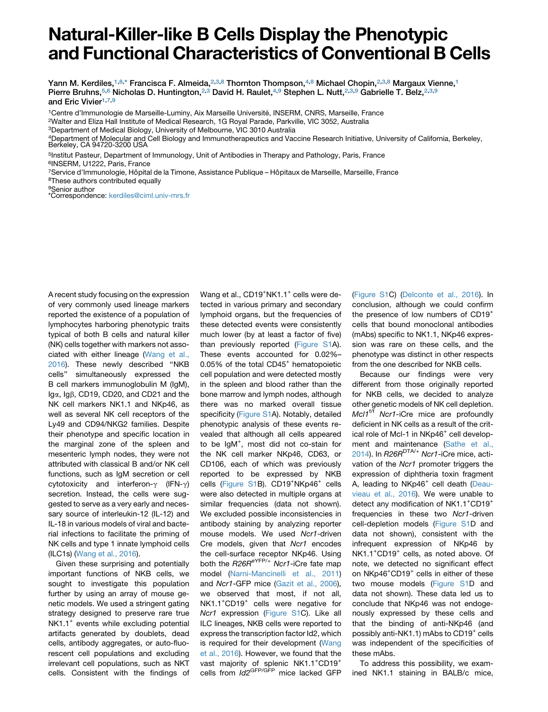## Natural-Killer-like B Cells Display the Phenotypic and Functional Characteristics of Conventional B Cells

Yann M. Kerdiles,<sup>[1](#page-1-0)[,8](#page-1-1),[\\*](#page-1-2)</sup> Francisca F. Almeida,<sup>[2,](#page-1-3)[3](#page-1-4),8</sup> Thornton Thompson,<sup>[4,](#page-1-5)[8](#page-1-1)</sup> Michael Chopin,<sup>2,3,8</sup> Margaux Vienne,<sup>1</sup> Pierre Bruhns, [5,](#page-1-6)[6](#page-1-7) Nicholas D. Huntington, [2,](#page-1-3)[3](#page-1-4) David H. Raulet, [4](#page-1-5)[,9](#page-1-8) Stephen L. Nutt, [2](#page-1-3)[,3,](#page-1-4)[9](#page-1-8) Gabrielle T. Belz, 2,3,9 and Eric Vivier<sup>[1,](#page-1-0)[7](#page-1-9)[,9](#page-1-8)</sup>

1Centre d'Immunologie de Marseille-Luminy, Aix Marseille Université, INSERM, CNRS, Marseille, France <sup>2</sup>Walter and Eliza Hall Institute of Medical Research, 1G Royal Parade, Parkville, VIC 3052, Australia <sup>3</sup>Department of Medical Biology, University of Melbourne, VIC 3010 Australia

<sup>4</sup>Department of Molecular and Cell Biology and Immunotherapeutics and Vaccine Research Initiative, University of California, Berkeley, Berkeley, CA 94720-3200 USA

<sup>5</sup>Institut Pasteur, Department of Immunology, Unit of Antibodies in Therapy and Pathology, Paris, France 6 INSERM, U1222, Paris, France

<span id="page-1-0"></span>7Service d'Immunologie, Hôpital de la Timone, Assistance Publique – Hôpitaux de Marseille, Marseille, France <sup>8</sup>These authors contributed equally

<span id="page-1-4"></span><span id="page-1-3"></span><sup>9</sup>Senior author

<span id="page-1-9"></span><span id="page-1-7"></span><span id="page-1-6"></span><span id="page-1-5"></span><span id="page-1-1"></span>\*Correspondence: [kerdiles@ciml.univ-mrs.fr](mailto:kerdiles@ciml.univ-mrs.fr)

<span id="page-1-8"></span><span id="page-1-2"></span>A recent study focusing on the expression of very commonly used lineage markers reported the existence of a population of lymphocytes harboring phenotypic traits typical of both B cells and natural killer (NK) cells together with markers not associated with either lineage ([Wang et al.,](#page-2-0) [2016\)](#page-2-0). These newly described ''NKB cells'' simultaneously expressed the B cell markers immunoglobulin M (IgM), Iga, Igb, CD19, CD20, and CD21 and the NK cell markers NK1.1 and NKp46, as well as several NK cell receptors of the Ly49 and CD94/NKG2 families. Despite their phenotype and specific location in the marginal zone of the spleen and mesenteric lymph nodes, they were not attributed with classical B and/or NK cell functions, such as IgM secretion or cell cytotoxicity and interferon- $\gamma$  (IFN- $\gamma$ ) secretion. Instead, the cells were suggested to serve as a very early and necessary source of interleukin-12 (IL-12) and IL-18 in various models of viral and bacterial infections to facilitate the priming of NK cells and type 1 innate lymphoid cells (ILC1s) ([Wang et al., 2016](#page-2-0)).

Given these surprising and potentially important functions of NKB cells, we sought to investigate this population further by using an array of mouse genetic models. We used a stringent gating strategy designed to preserve rare true  $NK1.1<sup>+</sup>$  events while excluding potential artifacts generated by doublets, dead cells, antibody aggregates, or auto-fluorescent cell populations and excluding irrelevant cell populations, such as NKT cells. Consistent with the findings of

Wang et al., CD19<sup>+</sup>NK1.1<sup>+</sup> cells were detected in various primary and secondary lymphoid organs, but the frequencies of these detected events were consistently much lower (by at least a factor of five) than previously reported (Figure S1A). These events accounted for 0.02%– 0.05% of the total CD45<sup>+</sup> hematopoietic cell population and were detected mostly in the spleen and blood rather than the bone marrow and lymph nodes, although there was no marked overall tissue specificity (Figure S1A). Notably, detailed phenotypic analysis of these events revealed that although all cells appeared to be IgM<sup>+</sup> , most did not co-stain for the NK cell marker NKp46, CD63, or CD106, each of which was previously reported to be expressed by NKB cells (Figure S1B). CD19<sup>+</sup>NKp46<sup>+</sup> cells were also detected in multiple organs at similar frequencies (data not shown). We excluded possible inconsistencies in antibody staining by analyzing reporter mouse models. We used *Ncr1*-driven Cre models, given that *Ncr1* encodes the cell-surface receptor NKp46. Using both the *R26Re*YFP/+ *Ncr1*-iCre fate map model ([Narni-Mancinelli et al., 2011\)](#page-2-1) and *Ncr1*-GFP mice ([Gazit et al., 2006](#page-2-2)), we observed that most, if not all, NK1.1<sup>+</sup>CD19<sup>+</sup> cells were negative for *Ncr1* expression (Figure S1C). Like all ILC lineages, NKB cells were reported to express the transcription factor Id2, which is required for their development ([Wang](#page-2-0) [et al., 2016\)](#page-2-0). However, we found that the vast majority of splenic NK1.1<sup>+</sup>CD19<sup>+</sup> cells from *Id2*GFP/GFP mice lacked GFP (Figure S1C) [\(Delconte et al., 2016](#page-2-3)). In conclusion, although we could confirm the presence of low numbers of CD19<sup>+</sup> cells that bound monoclonal antibodies (mAbs) specific to NK1.1, NKp46 expression was rare on these cells, and the phenotype was distinct in other respects from the one described for NKB cells.

Because our findings were very different from those originally reported for NKB cells, we decided to analyze other genetic models of NK cell depletion. *Mcl1*f/f *Ncr1-*iCre mice are profoundly deficient in NK cells as a result of the critical role of Mcl-1 in NKp46<sup>+</sup> cell develop-ment and maintenance ([Sathe et al.,](#page-2-4) [2014\)](#page-2-4). In *R26R*DTA/+ *Ncr1*-iCre mice, activation of the *Ncr1* promoter triggers the expression of diphtheria toxin fragment A, leading to NKp46<sup>+</sup> cell death [\(Deau](#page-2-5)[vieau et al., 2016\)](#page-2-5). We were unable to detect any modification of NK1.1<sup>+</sup>CD19<sup>+</sup> frequencies in these two *Ncr1*-driven cell-depletion models (Figure S1D and data not shown), consistent with the infrequent expression of NKp46 by NK1.1<sup>+</sup>CD19<sup>+</sup> cells, as noted above. Of note, we detected no significant effect on NKp46<sup>+</sup>CD19<sup>+</sup> cells in either of these two mouse models (Figure S1D and data not shown). These data led us to conclude that NKp46 was not endogenously expressed by these cells and that the binding of anti-NKp46 (and possibly anti-NK1.1) mAbs to CD19<sup>+</sup> cells was independent of the specificities of these mAbs.

To address this possibility, we examined NK1.1 staining in BALB/c mice,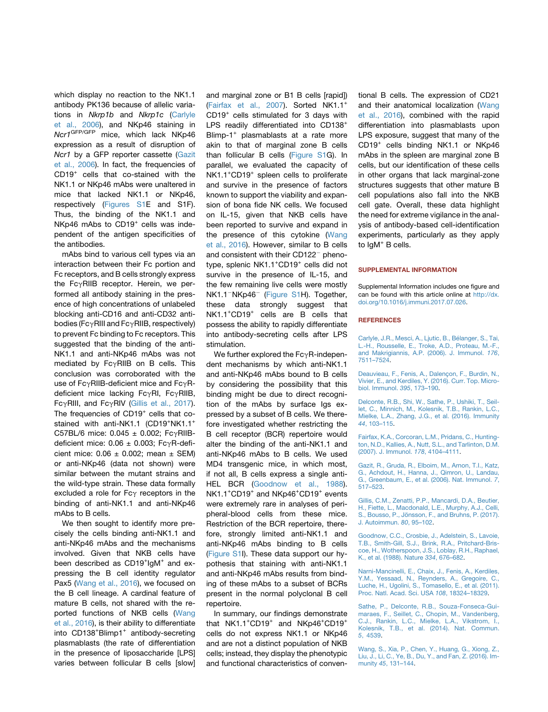which display no reaction to the NK1.1 antibody PK136 because of allelic variations in *Nkrp1b* and *Nkrp1c* [\(Carlyle](#page-2-6) et al., [2006](#page-2-6)), and NKp46 staining in *Ncr1*GFP/GFP mice, which lack NKp46 expression as a result of disruption of *Ncr1* by a GFP reporter cassette ([Gazit](#page-2-2) et al., [2006\)](#page-2-2). In fact, the frequencies of CD19<sup>+</sup> cells that co-stained with the NK1.1 or NKp46 mAbs were unaltered in mice that lacked NK1.1 or NKp46, respectively (Figures S1E and S1F). Thus, the binding of the NK1.1 and NKp46 mAbs to CD19<sup>+</sup> cells was independent of the antigen specificities of the antibodies.

mAbs bind to various cell types via an interaction between their Fc portion and Fc receptors, and B cells strongly express the  $Fc\gamma$ RIIB receptor. Herein, we performed all antibody staining in the presence of high concentrations of unlabeled blocking anti-CD16 and anti-CD32 antibodies (Fc $\gamma$ RIII and Fc $\gamma$ RIIB, respectively) to prevent Fc binding to Fc receptors. This suggested that the binding of the anti-NK1.1 and anti-NKp46 mAbs was not mediated by  $Fc\gamma$ RIIB on B cells. This conclusion was corroborated with the use of Fc $\gamma$ RIIB-deficient mice and Fc $\gamma$ Rdeficient mice lacking Fc $\gamma$ RI, Fc $\gamma$ RIIB, Fc $\gamma$ RIII, and Fc $\gamma$ RIV (Gillis et al., [2017\)](#page-2-7). The frequencies of CD19<sup>+</sup> cells that costained with anti-NK1.1 (CD19<sup>+</sup>NK1.1<sup>+</sup> C57BL/6 mice:  $0.045 \pm 0.002$ ; Fc $\gamma$ RIIBdeficient mice:  $0.06 \pm 0.003$ ; Fc $\gamma$ R-deficient mice:  $0.06 \pm 0.002$ ; mean  $\pm$  SEM) or anti-NKp46 (data not shown) were similar between the mutant strains and the wild-type strain. These data formally excluded a role for  $Fc\gamma$  receptors in the binding of anti-NK1.1 and anti-NKp46 mAbs to B cells.

We then sought to identify more precisely the cells binding anti-NK1.1 and anti-NKp46 mAbs and the mechanisms involved. Given that NKB cells have been described as CD19<sup>+</sup>lgM<sup>+</sup> and expressing the B cell identity regulator Pax5 ([Wang](#page-2-0) et al., 2016), we focused on the B cell lineage. A cardinal feature of mature B cells, not shared with the reported functions of NKB cells [\(Wang](#page-2-0) et al., [2016\)](#page-2-0), is their ability to differentiate into CD138<sup>+</sup>Blimp1<sup>+</sup> antibody-secreting plasmablasts (the rate of differentiation in the presence of liposaccharide [LPS] varies between follicular B cells [slow]

and marginal zone or B1 B cells [rapid]) [\(Fairfax et al., 2007\)](#page-2-8). Sorted NK1.1<sup>+</sup> CD19<sup>+</sup> cells stimulated for 3 days with LPS readily differentiated into CD138<sup>+</sup> Blimp-1<sup>+</sup> plasmablasts at a rate more akin to that of marginal zone B cells than follicular B cells (Figure S1G). In parallel, we evaluated the capacity of NK1.1<sup>+</sup>CD19<sup>+</sup> spleen cells to proliferate and survive in the presence of factors known to support the viability and expansion of bona fide NK cells. We focused on IL-15, given that NKB cells have been reported to survive and expand in the presence of this cytokine ([Wang](#page-2-0) [et al., 2016\)](#page-2-0). However, similar to B cells and consistent with their  $CD122^-$  phenotype, splenic NK1.1<sup>+</sup>CD19<sup>+</sup> cells did not survive in the presence of IL-15, and the few remaining live cells were mostly  $NK1.1^-$ NKp46<sup>-</sup> (Figure S1H). Together, these data strongly suggest that NK1.1<sup>+</sup>CD19<sup>+</sup> cells are B cells that possess the ability to rapidly differentiate into antibody-secreting cells after LPS stimulation.

We further explored the  $Fc\gamma R$ -independent mechanisms by which anti-NK1.1 and anti-NKp46 mAbs bound to B cells by considering the possibility that this binding might be due to direct recognition of the mAbs by surface Igs expressed by a subset of B cells. We therefore investigated whether restricting the B cell receptor (BCR) repertoire would alter the binding of the anti-NK1.1 and anti-NKp46 mAbs to B cells. We used MD4 transgenic mice, in which most, if not all, B cells express a single anti-HEL BCR [\(Goodnow et al., 1988\)](#page-2-9). NK1.1<sup>+</sup>CD19<sup>+</sup> and NKp46<sup>+</sup>CD19<sup>+</sup> events were extremely rare in analyses of peripheral-blood cells from these mice. Restriction of the BCR repertoire, therefore, strongly limited anti-NK1.1 and anti-NKp46 mAbs binding to B cells (Figure S1I). These data support our hypothesis that staining with anti-NK1.1 and anti-NKp46 mAbs results from binding of these mAbs to a subset of BCRs present in the normal polyclonal B cell repertoire.

In summary, our findings demonstrate that NK1.1<sup>+</sup>CD19<sup>+</sup> and NKp46<sup>+</sup>CD19<sup>+</sup> cells do not express NK1.1 or NKp46 and are not a distinct population of NKB cells; instead, they display the phenotypic and functional characteristics of conventional B cells. The expression of CD21 and their anatomical localization ([Wang](#page-2-0) [et al., 2016](#page-2-0)), combined with the rapid differentiation into plasmablasts upon LPS exposure, suggest that many of the CD19<sup>+</sup> cells binding NK1.1 or NKp46 mAbs in the spleen are marginal zone B cells, but our identification of these cells in other organs that lack marginal-zone structures suggests that other mature B cell populations also fall into the NKB cell gate. Overall, these data highlight the need for extreme vigilance in the analysis of antibody-based cell-identification experiments, particularly as they apply to  $IgM<sup>+</sup>$  B cells.

#### SUPPLEMENTAL INFORMATION

Supplemental Information includes one figure and can be found with this article online at [http://dx.](http://dx.doi.org/10.1016/j.immuni.2017.07.026) [doi.org/10.1016/j.immuni.2017.07.026](http://dx.doi.org/10.1016/j.immuni.2017.07.026).

#### **REFERENCES**

<span id="page-2-6"></span>Carlyle, J.R., Mesci, A., Ljutic, B., Bélanger, S., Tai, L.-H., Rousselle, E., Troke, A.D., Proteau, M.-F. [and Makrigiannis, A.P. \(2006\). J. Immunol.](http://refhub.elsevier.com/S1074-7613(17)30335-7/sref1) *176*, [7511–7524.](http://refhub.elsevier.com/S1074-7613(17)30335-7/sref1)

<span id="page-2-5"></span>Deauvieau, F., Fenis, A., Dalencon, F., Burdin, N., [Vivier, E., and Kerdiles, Y. \(2016\). Curr. Top. Micro](http://refhub.elsevier.com/S1074-7613(17)30335-7/sref2)[biol. Immunol.](http://refhub.elsevier.com/S1074-7613(17)30335-7/sref2) *395*, 173–190.

<span id="page-2-3"></span>[Delconte, R.B., Shi, W., Sathe, P., Ushiki, T., Seil](http://refhub.elsevier.com/S1074-7613(17)30335-7/sref3)[let, C., Minnich, M., Kolesnik, T.B., Rankin, L.C.,](http://refhub.elsevier.com/S1074-7613(17)30335-7/sref3) [Mielke, L.A., Zhang, J.G., et al. \(2016\). Immunity](http://refhub.elsevier.com/S1074-7613(17)30335-7/sref3) *44*[, 103–115.](http://refhub.elsevier.com/S1074-7613(17)30335-7/sref3)

<span id="page-2-8"></span>[Fairfax, K.A., Corcoran, L.M., Pridans, C., Hunting](http://refhub.elsevier.com/S1074-7613(17)30335-7/sref4)[ton, N.D., Kallies, A., Nutt, S.L., and Tarlinton, D.M.](http://refhub.elsevier.com/S1074-7613(17)30335-7/sref4) [\(2007\). J. Immunol.](http://refhub.elsevier.com/S1074-7613(17)30335-7/sref4) *178*, 4104–4111.

<span id="page-2-2"></span>[Gazit, R., Gruda, R., Elboim, M., Arnon, T.I., Katz,](http://refhub.elsevier.com/S1074-7613(17)30335-7/sref5) [G., Achdout, H., Hanna, J., Qimron, U., Landau,](http://refhub.elsevier.com/S1074-7613(17)30335-7/sref5) [G., Greenbaum, E., et al. \(2006\). Nat. Immunol.](http://refhub.elsevier.com/S1074-7613(17)30335-7/sref5) *7*, [517–523](http://refhub.elsevier.com/S1074-7613(17)30335-7/sref5).

<span id="page-2-7"></span>[Gillis, C.M., Zenatti, P.P., Mancardi, D.A., Beutier,](http://refhub.elsevier.com/S1074-7613(17)30335-7/sref6) [H., Fiette, L., Macdonald, L.E., Murphy, A.J., Celli,](http://refhub.elsevier.com/S1074-7613(17)30335-7/sref6) S., Bousso, P., Jö[nsson, F., and Bruhns, P. \(2017\).](http://refhub.elsevier.com/S1074-7613(17)30335-7/sref6) [J. Autoimmun.](http://refhub.elsevier.com/S1074-7613(17)30335-7/sref6) *80*, 95–102.

<span id="page-2-9"></span>[Goodnow, C.C., Crosbie, J., Adelstein, S., Lavoie,](http://refhub.elsevier.com/S1074-7613(17)30335-7/sref7) [T.B., Smith-Gill, S.J., Brink, R.A., Pritchard-Bris](http://refhub.elsevier.com/S1074-7613(17)30335-7/sref7)[coe, H., Wotherspoon, J.S., Loblay, R.H., Raphael,](http://refhub.elsevier.com/S1074-7613(17)30335-7/sref7) [K., et al. \(1988\). Nature](http://refhub.elsevier.com/S1074-7613(17)30335-7/sref7) *334*, 676–682.

<span id="page-2-1"></span>[Narni-Mancinelli, E., Chaix, J., Fenis, A., Kerdiles,](http://refhub.elsevier.com/S1074-7613(17)30335-7/sref8) Y.M., Yessaad, N., Reynders, A., Gregoire, C. [Luche, H., Ugolini, S., Tomasello, E., et al. \(2011\).](http://refhub.elsevier.com/S1074-7613(17)30335-7/sref8) [Proc. Natl. Acad. Sci. USA](http://refhub.elsevier.com/S1074-7613(17)30335-7/sref8) *108*, 18324–18329.

<span id="page-2-4"></span>[Sathe, P., Delconte, R.B., Souza-Fonseca-Gui](http://refhub.elsevier.com/S1074-7613(17)30335-7/sref9)[maraes, F., Seillet, C., Chopin, M., Vandenberg,](http://refhub.elsevier.com/S1074-7613(17)30335-7/sref9) [C.J., Rankin, L.C., Mielke, L.A., Vikstrom, I.,](http://refhub.elsevier.com/S1074-7613(17)30335-7/sref9) [Kolesnik, T.B., et al. \(2014\). Nat. Commun.](http://refhub.elsevier.com/S1074-7613(17)30335-7/sref9) *5*[, 4539](http://refhub.elsevier.com/S1074-7613(17)30335-7/sref9).

<span id="page-2-0"></span>[Wang, S., Xia, P., Chen, Y., Huang, G., Xiong, Z.,](http://refhub.elsevier.com/S1074-7613(17)30335-7/sref10) [Liu, J., Li, C., Ye, B., Du, Y., and Fan, Z. \(2016\). Im](http://refhub.elsevier.com/S1074-7613(17)30335-7/sref10)munity *45*[, 131–144.](http://refhub.elsevier.com/S1074-7613(17)30335-7/sref10)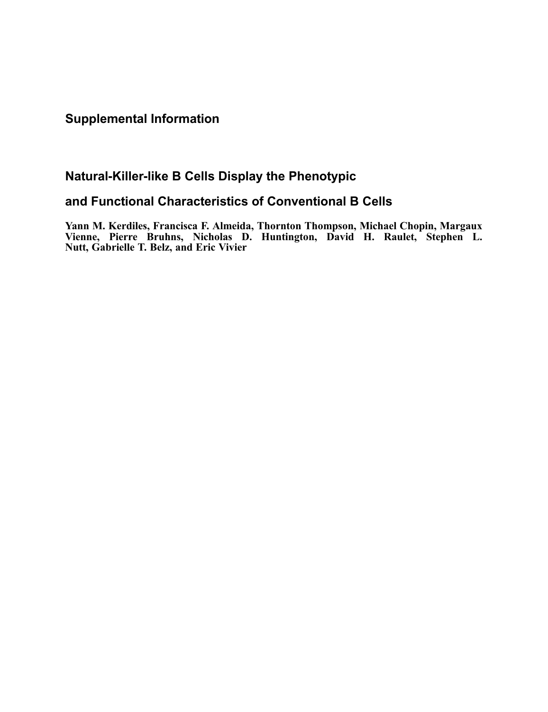## Supplemental Information

## Natural-Killer-like B Cells Display the Phenotypic

### and Functional Characteristics of Conventional B Cells

Yann M. Kerdiles, Francisca F. Almeida, Thornton Thompson, Michael Chopin, Margaux Vienne, Pierre Bruhns, Nicholas D. Huntington, David H. Raulet, Stephen L. Nutt, Gabrielle T. Belz, and Eric Vivier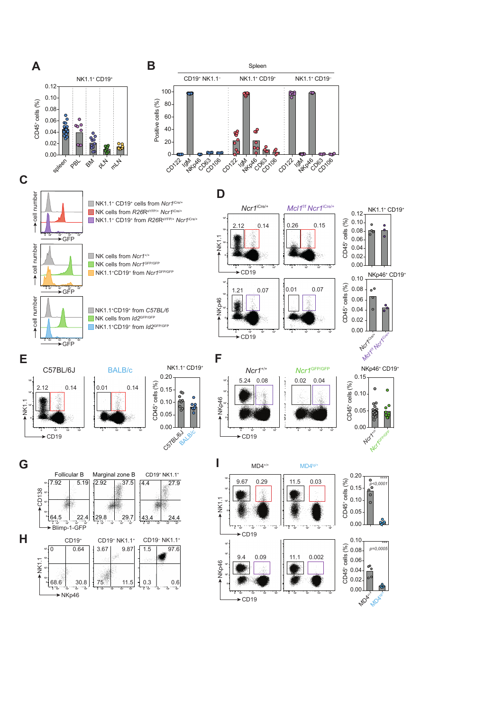